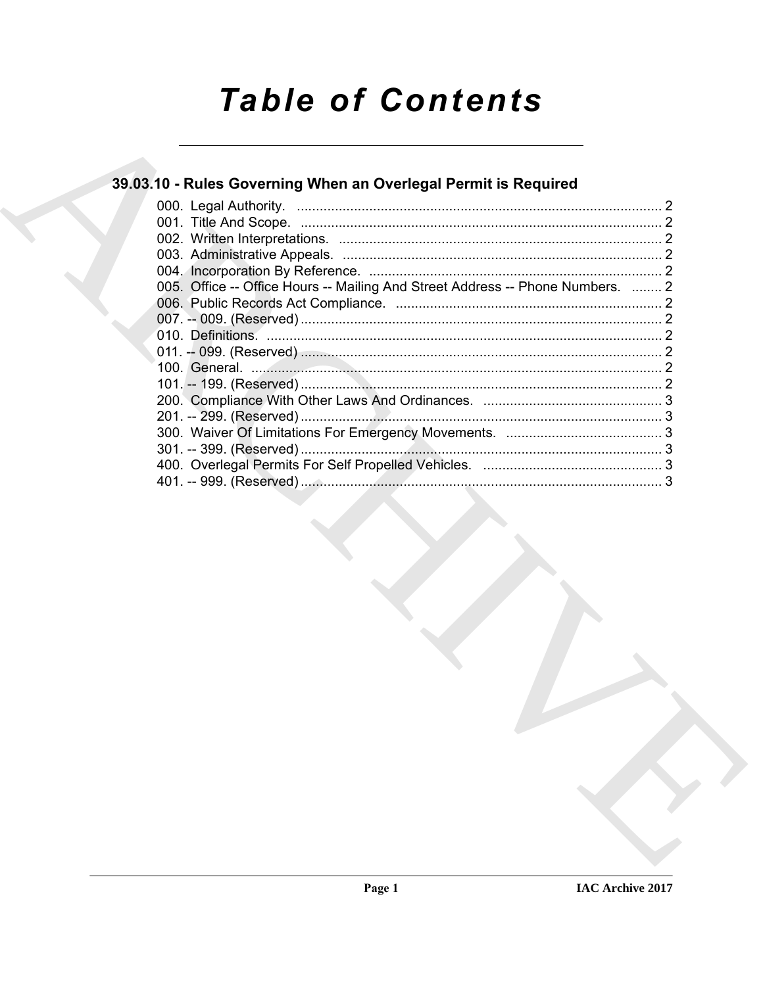# **Table of Contents**

### 39.03.10 - Rules Governing When an Overlegal Permit is Required

| 005. Office -- Office Hours -- Mailing And Street Address -- Phone Numbers.  2 |  |
|--------------------------------------------------------------------------------|--|
|                                                                                |  |
|                                                                                |  |
|                                                                                |  |
|                                                                                |  |
|                                                                                |  |
|                                                                                |  |
|                                                                                |  |
|                                                                                |  |
|                                                                                |  |
|                                                                                |  |
|                                                                                |  |
|                                                                                |  |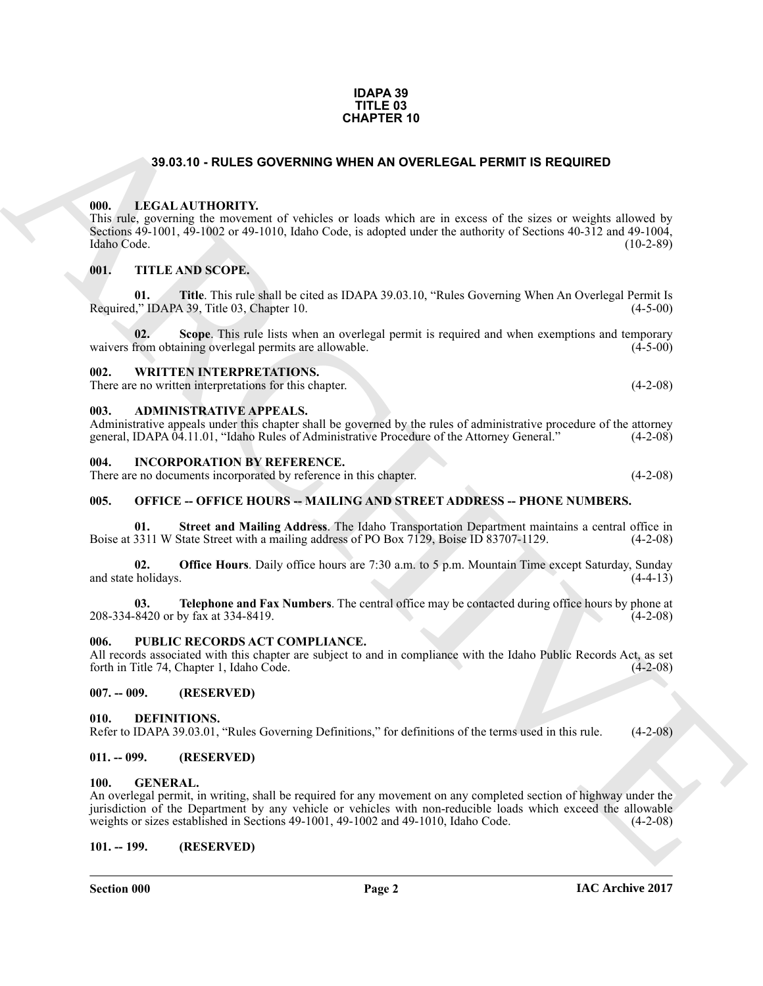#### **IDAPA 39 TITLE 03 CHAPTER 10**

#### **39.03.10 - RULES GOVERNING WHEN AN OVERLEGAL PERMIT IS REQUIRED**

#### <span id="page-1-1"></span><span id="page-1-0"></span>**000. LEGAL AUTHORITY.**

**33.03.10 - RULES OOVERINNO WHEN AN OVERLEGAL PERMIT IS REQUIRED<br>
(III).** HE TAKE AN INTERNATIONAL SURVEY AND ONE IN THE SAME SERVE AND THE TAKE AN INTERNATIONAL SURVEY AND SURVEY AND SURVEY AND SURVEY AND SURVEY AND SURV This rule, governing the movement of vehicles or loads which are in excess of the sizes or weights allowed by Sections 49-1001, 49-1002 or 49-1010, Idaho Code, is adopted under the authority of Sections 40-312 and 49-1004, Idaho Code. (10-2-89)

#### <span id="page-1-2"></span>**001. TITLE AND SCOPE.**

**01. Title**. This rule shall be cited as IDAPA 39.03.10, "Rules Governing When An Overlegal Permit Is Required," IDAPA 39, Title 03, Chapter 10. (4-5-00)

**02. Scope**. This rule lists when an overlegal permit is required and when exemptions and temporary waivers from obtaining overlegal permits are allowable. (4-5-00)

<span id="page-1-3"></span>**002. WRITTEN INTERPRETATIONS.**

There are no written interpretations for this chapter. (4-2-08)

#### <span id="page-1-4"></span>**003. ADMINISTRATIVE APPEALS.**

Administrative appeals under this chapter shall be governed by the rules of administrative procedure of the attorney general, IDAPA 04.11.01, "Idaho Rules of Administrative Procedure of the Attorney General." (4-2-08)

#### <span id="page-1-5"></span>**004. INCORPORATION BY REFERENCE.**

There are no documents incorporated by reference in this chapter. (4-2-08)

#### <span id="page-1-6"></span>**005. OFFICE -- OFFICE HOURS -- MAILING AND STREET ADDRESS -- PHONE NUMBERS.**

**01. Street and Mailing Address**. The Idaho Transportation Department maintains a central office in Boise at 3311 W State Street with a mailing address of PO Box 7129, Boise ID 83707-1129. (4-2-08)

**02. Office Hours**. Daily office hours are 7:30 a.m. to 5 p.m. Mountain Time except Saturday, Sunday and state holidays. (4-4-13)

**03. Telephone and Fax Numbers**. The central office may be contacted during office hours by phone at 208-334-8420 or by fax at 334-8419. (4-2-08)

#### <span id="page-1-7"></span>**006. PUBLIC RECORDS ACT COMPLIANCE.**

All records associated with this chapter are subject to and in compliance with the Idaho Public Records Act, as set forth in Title 74, Chapter 1, Idaho Code. (4-2-08)

#### <span id="page-1-8"></span>**007. -- 009. (RESERVED)**

#### <span id="page-1-13"></span><span id="page-1-9"></span>**010. DEFINITIONS.**

Refer to IDAPA 39.03.01, "Rules Governing Definitions," for definitions of the terms used in this rule. (4-2-08)

#### <span id="page-1-10"></span>**011. -- 099. (RESERVED)**

#### <span id="page-1-14"></span><span id="page-1-11"></span>**100. GENERAL.**

An overlegal permit, in writing, shall be required for any movement on any completed section of highway under the jurisdiction of the Department by any vehicle or vehicles with non-reducible loads which exceed the allowable weights or sizes established in Sections 49-1001, 49-1002 and 49-1010, Idaho Code. (4-2-08)

#### <span id="page-1-12"></span>**101. -- 199. (RESERVED)**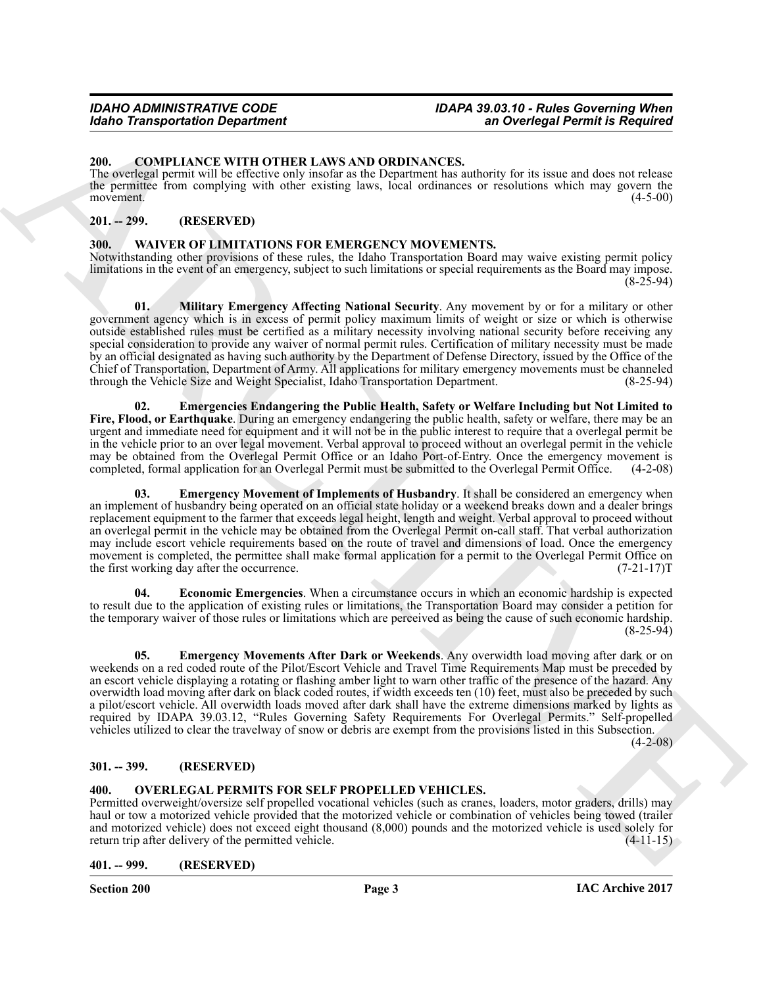#### <span id="page-2-6"></span><span id="page-2-0"></span>**200. COMPLIANCE WITH OTHER LAWS AND ORDINANCES.**

The overlegal permit will be effective only insofar as the Department has authority for its issue and does not release the permittee from complying with other existing laws, local ordinances or resolutions which may govern the movement. (4-5-00) movement.  $(4-5-00)$ 

#### <span id="page-2-1"></span>**201. -- 299. (RESERVED)**

#### <span id="page-2-8"></span><span id="page-2-2"></span>**300. WAIVER OF LIMITATIONS FOR EMERGENCY MOVEMENTS.**

<span id="page-2-13"></span>Notwithstanding other provisions of these rules, the Idaho Transportation Board may waive existing permit policy limitations in the event of an emergency, subject to such limitations or special requirements as the Board may impose. (8-25-94)

State Transportation Department<br>
20. COMPLEMENT CONTINUES CONTINUES CONTINUES CONTINUES CONTINUES CONTINUES CONTINUES CONTINUES CONTINUES CONTINUES CONTINUES CONTINUES CONTINUES CONTINUES CONTINUES CONTINUES CONTINUES CON **01. Military Emergency Affecting National Security**. Any movement by or for a military or other government agency which is in excess of permit policy maximum limits of weight or size or which is otherwise outside established rules must be certified as a military necessity involving national security before receiving any special consideration to provide any waiver of normal permit rules. Certification of military necessity must be made by an official designated as having such authority by the Department of Defense Directory, issued by the Office of the Chief of Transportation, Department of Army. All applications for military emergency movements must be channeled through the Vehicle Size and Weight Specialist, Idaho Transportation Department.

<span id="page-2-10"></span>**02. Emergencies Endangering the Public Health, Safety or Welfare Including but Not Limited to Fire, Flood, or Earthquake**. During an emergency endangering the public health, safety or welfare, there may be an urgent and immediate need for equipment and it will not be in the public interest to require that a overlegal permit be in the vehicle prior to an over legal movement. Verbal approval to proceed without an overlegal permit in the vehicle may be obtained from the Overlegal Permit Office or an Idaho Port-of-Entry. Once the emergency movement is completed, formal application for an Overlegal Permit must be submitted to the Overlegal Permit Office. (4-2-08)

<span id="page-2-11"></span>**03. Emergency Movement of Implements of Husbandry**. It shall be considered an emergency when an implement of husbandry being operated on an official state holiday or a weekend breaks down and a dealer brings replacement equipment to the farmer that exceeds legal height, length and weight. Verbal approval to proceed without an overlegal permit in the vehicle may be obtained from the Overlegal Permit on-call staff. That verbal authorization may include escort vehicle requirements based on the route of travel and dimensions of load. Once the emergency movement is completed, the permittee shall make formal application for a permit to the Overlegal Permit Office on the first working day after the occurrence. (7-21-17)T

<span id="page-2-9"></span>**04. Economic Emergencies**. When a circumstance occurs in which an economic hardship is expected to result due to the application of existing rules or limitations, the Transportation Board may consider a petition for the temporary waiver of those rules or limitations which are perceived as being the cause of such economic hardship. (8-25-94)

<span id="page-2-12"></span>**05. Emergency Movements After Dark or Weekends**. Any overwidth load moving after dark or on weekends on a red coded route of the Pilot/Escort Vehicle and Travel Time Requirements Map must be preceded by an escort vehicle displaying a rotating or flashing amber light to warn other traffic of the presence of the hazard. Any overwidth load moving after dark on black coded routes, if width exceeds ten (10) feet, must also be preceded by such a pilot/escort vehicle. All overwidth loads moved after dark shall have the extreme dimensions marked by lights as required by IDAPA 39.03.12, "Rules Governing Safety Requirements For Overlegal Permits." Self-propelled vehicles utilized to clear the travelway of snow or debris are exempt from the provisions listed in this Subsection.

 $(4-2-08)$ 

#### <span id="page-2-3"></span>**301. -- 399. (RESERVED)**

#### <span id="page-2-7"></span><span id="page-2-4"></span>**400. OVERLEGAL PERMITS FOR SELF PROPELLED VEHICLES.**

Permitted overweight/oversize self propelled vocational vehicles (such as cranes, loaders, motor graders, drills) may haul or tow a motorized vehicle provided that the motorized vehicle or combination of vehicles being towed (trailer and motorized vehicle) does not exceed eight thousand (8,000) pounds and the motorized vehicle is used solely for return trip after delivery of the permitted vehicle. (4-11-15)

<span id="page-2-5"></span>**401. -- 999. (RESERVED)**

**Section 200 Page 3**